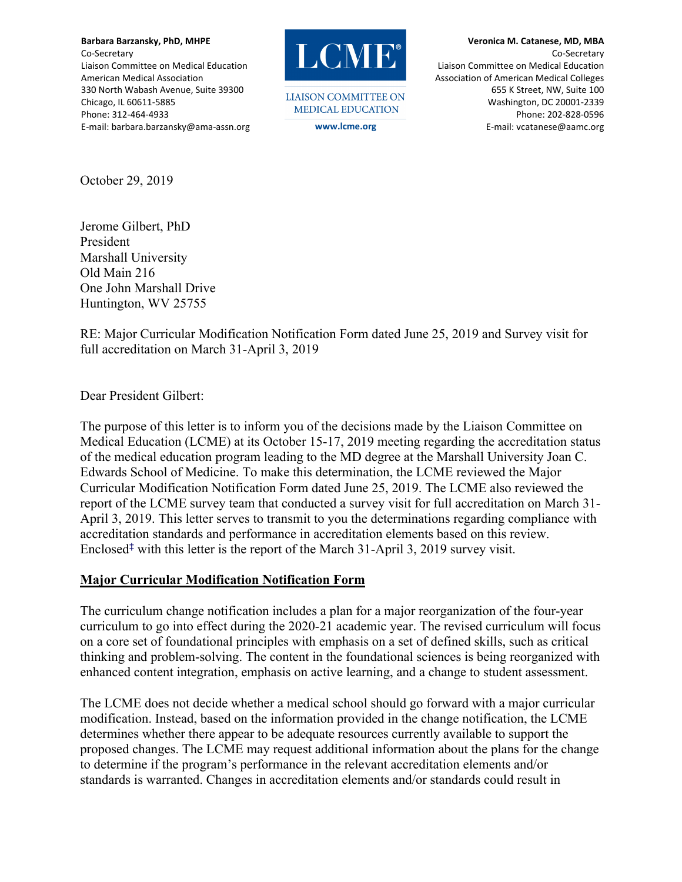**Barbara Barzansky, PhD, MHPE**  Co‐Secretary Liaison Committee on Medical Education American Medical Association 330 North Wabash Avenue, Suite 39300 Chicago, IL 60611‐5885 Phone: 312‐464‐4933 E‐mail: barbara.barzansky@ama‐assn.org



**LIAISON COMMITTEE ON MEDICAL EDUCATION** 

**Veronica M. Catanese, MD, MBA**  Co‐Secretary Liaison Committee on Medical Education Association of American Medical Colleges 655 K Street, NW, Suite 100 Washington, DC 20001‐2339 Phone: 202‐828‐0596 **www.lcme.org** E‐mail: vcatanese@aamc.org

October 29, 2019

Jerome Gilbert, PhD President Marshall University Old Main 216 One John Marshall Drive Huntington, WV 25755

RE: Major Curricular Modification Notification Form dated June 25, 2019 and Survey visit for full accreditation on March 31-April 3, 2019

Dear President Gilbert:

The purpose of this letter is to inform you of the decisions made by the Liaison Committee on Medical Education (LCME) at its October 15-17, 2019 meeting regarding the accreditation status of the medical education program leading to the MD degree at the Marshall University Joan C. Edwards School of Medicine. To make this determination, the LCME reviewed the Major Curricular Modification Notification Form dated June 25, 2019. The LCME also reviewed the report of the LCME survey team that conducted a survey visit for full accreditation on March 31- April 3, 2019. This letter serves to transmit to you the determinations regarding compliance with accreditation standards and performance in accreditation elements based on this review. Enclosed‡ with this letter is the report of the March 31-April 3, 2019 survey visit.

#### **Major Curricular Modification Notification Form**

The curriculum change notification includes a plan for a major reorganization of the four-year curriculum to go into effect during the 2020-21 academic year. The revised curriculum will focus on a core set of foundational principles with emphasis on a set of defined skills, such as critical thinking and problem-solving. The content in the foundational sciences is being reorganized with enhanced content integration, emphasis on active learning, and a change to student assessment.

The LCME does not decide whether a medical school should go forward with a major curricular modification. Instead, based on the information provided in the change notification, the LCME determines whether there appear to be adequate resources currently available to support the proposed changes. The LCME may request additional information about the plans for the change to determine if the program's performance in the relevant accreditation elements and/or standards is warranted. Changes in accreditation elements and/or standards could result in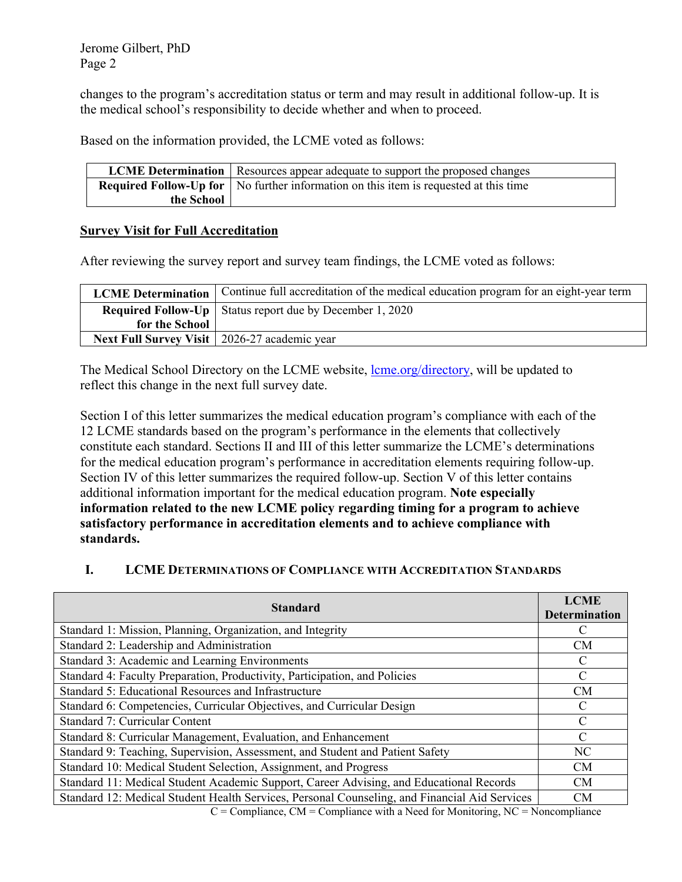changes to the program's accreditation status or term and may result in additional follow-up. It is the medical school's responsibility to decide whether and when to proceed.

Based on the information provided, the LCME voted as follows:

|            | <b>LCME Determination</b>   Resources appear adequate to support the proposed changes       |
|------------|---------------------------------------------------------------------------------------------|
|            | <b>Required Follow-Up for</b> No further information on this item is requested at this time |
| the School |                                                                                             |

### **Survey Visit for Full Accreditation**

After reviewing the survey report and survey team findings, the LCME voted as follows:

|                                                | LCME Determination   Continue full accreditation of the medical education program for an eight-year term |
|------------------------------------------------|----------------------------------------------------------------------------------------------------------|
|                                                | <b>Required Follow-Up</b>   Status report due by December 1, 2020                                        |
| for the School                                 |                                                                                                          |
| Next Full Survey Visit   2026-27 academic year |                                                                                                          |

The Medical School Directory on the LCME website, lcme.org/directory, will be updated to reflect this change in the next full survey date.

Section I of this letter summarizes the medical education program's compliance with each of the 12 LCME standards based on the program's performance in the elements that collectively constitute each standard. Sections II and III of this letter summarize the LCME's determinations for the medical education program's performance in accreditation elements requiring follow-up. Section IV of this letter summarizes the required follow-up. Section V of this letter contains additional information important for the medical education program. **Note especially information related to the new LCME policy regarding timing for a program to achieve satisfactory performance in accreditation elements and to achieve compliance with standards.** 

# **I. LCME DETERMINATIONS OF COMPLIANCE WITH ACCREDITATION STANDARDS**

| <b>Standard</b>                                                                                                                   | <b>LCME</b><br><b>Determination</b> |
|-----------------------------------------------------------------------------------------------------------------------------------|-------------------------------------|
| Standard 1: Mission, Planning, Organization, and Integrity                                                                        |                                     |
| Standard 2: Leadership and Administration                                                                                         | CM                                  |
| Standard 3: Academic and Learning Environments                                                                                    |                                     |
| Standard 4: Faculty Preparation, Productivity, Participation, and Policies                                                        |                                     |
| Standard 5: Educational Resources and Infrastructure                                                                              | CM                                  |
| Standard 6: Competencies, Curricular Objectives, and Curricular Design                                                            |                                     |
| Standard 7: Curricular Content                                                                                                    | C                                   |
| Standard 8: Curricular Management, Evaluation, and Enhancement                                                                    |                                     |
| Standard 9: Teaching, Supervision, Assessment, and Student and Patient Safety                                                     | NC                                  |
| Standard 10: Medical Student Selection, Assignment, and Progress                                                                  | <b>CM</b>                           |
| Standard 11: Medical Student Academic Support, Career Advising, and Educational Records                                           | CM                                  |
| Standard 12: Medical Student Health Services, Personal Counseling, and Financial Aid Services<br>a that a third to the service of | <b>CM</b>                           |

 $C =$  Compliance, CM = Compliance with a Need for Monitoring, NC = Noncompliance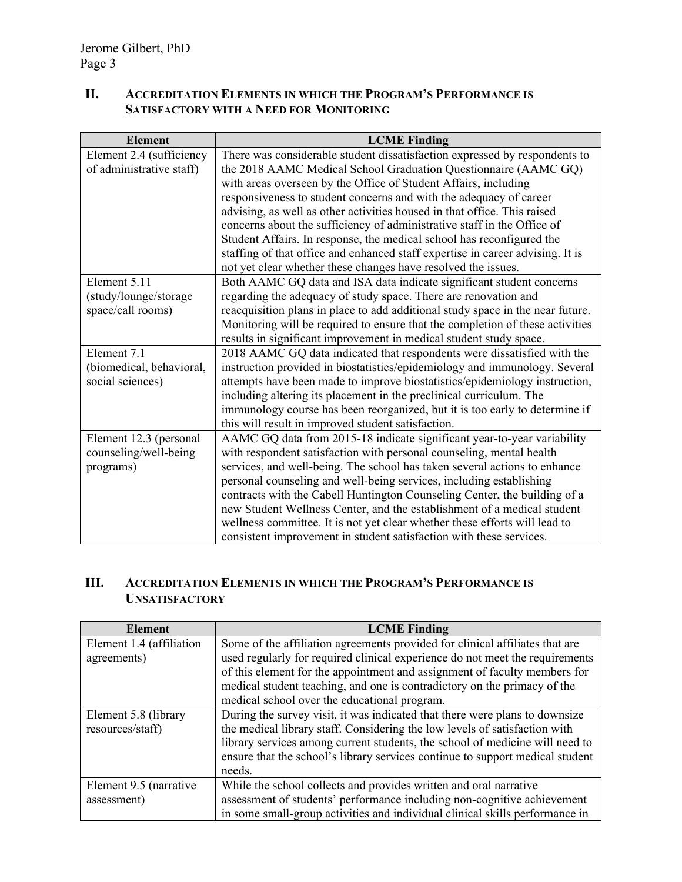# **II. ACCREDITATION ELEMENTS IN WHICH THE PROGRAM'S PERFORMANCE IS SATISFACTORY WITH A NEED FOR MONITORING**

| <b>Element</b>           | <b>LCME</b> Finding                                                            |  |  |  |
|--------------------------|--------------------------------------------------------------------------------|--|--|--|
| Element 2.4 (sufficiency | There was considerable student dissatisfaction expressed by respondents to     |  |  |  |
| of administrative staff) | the 2018 AAMC Medical School Graduation Questionnaire (AAMC GQ)                |  |  |  |
|                          | with areas overseen by the Office of Student Affairs, including                |  |  |  |
|                          | responsiveness to student concerns and with the adequacy of career             |  |  |  |
|                          | advising, as well as other activities housed in that office. This raised       |  |  |  |
|                          | concerns about the sufficiency of administrative staff in the Office of        |  |  |  |
|                          | Student Affairs. In response, the medical school has reconfigured the          |  |  |  |
|                          | staffing of that office and enhanced staff expertise in career advising. It is |  |  |  |
|                          | not yet clear whether these changes have resolved the issues.                  |  |  |  |
| Element 5.11             | Both AAMC GQ data and ISA data indicate significant student concerns           |  |  |  |
| (study/lounge/storage    | regarding the adequacy of study space. There are renovation and                |  |  |  |
| space/call rooms)        | reacquisition plans in place to add additional study space in the near future. |  |  |  |
|                          | Monitoring will be required to ensure that the completion of these activities  |  |  |  |
|                          | results in significant improvement in medical student study space.             |  |  |  |
| Element 7.1              | 2018 AAMC GQ data indicated that respondents were dissatisfied with the        |  |  |  |
| (biomedical, behavioral, | instruction provided in biostatistics/epidemiology and immunology. Several     |  |  |  |
| social sciences)         | attempts have been made to improve biostatistics/epidemiology instruction,     |  |  |  |
|                          | including altering its placement in the preclinical curriculum. The            |  |  |  |
|                          | immunology course has been reorganized, but it is too early to determine if    |  |  |  |
|                          | this will result in improved student satisfaction.                             |  |  |  |
| Element 12.3 (personal   | AAMC GQ data from 2015-18 indicate significant year-to-year variability        |  |  |  |
| counseling/well-being    | with respondent satisfaction with personal counseling, mental health           |  |  |  |
| programs)                | services, and well-being. The school has taken several actions to enhance      |  |  |  |
|                          | personal counseling and well-being services, including establishing            |  |  |  |
|                          | contracts with the Cabell Huntington Counseling Center, the building of a      |  |  |  |
|                          | new Student Wellness Center, and the establishment of a medical student        |  |  |  |
|                          | wellness committee. It is not yet clear whether these efforts will lead to     |  |  |  |
|                          | consistent improvement in student satisfaction with these services.            |  |  |  |

# **III. ACCREDITATION ELEMENTS IN WHICH THE PROGRAM'S PERFORMANCE IS UNSATISFACTORY**

| <b>Element</b>           | <b>LCME</b> Finding                                                           |
|--------------------------|-------------------------------------------------------------------------------|
| Element 1.4 (affiliation | Some of the affiliation agreements provided for clinical affiliates that are  |
| agreements)              | used regularly for required clinical experience do not meet the requirements  |
|                          | of this element for the appointment and assignment of faculty members for     |
|                          | medical student teaching, and one is contradictory on the primacy of the      |
|                          | medical school over the educational program.                                  |
| Element 5.8 (library     | During the survey visit, it was indicated that there were plans to downsize   |
| resources/staff)         | the medical library staff. Considering the low levels of satisfaction with    |
|                          | library services among current students, the school of medicine will need to  |
|                          | ensure that the school's library services continue to support medical student |
|                          | needs.                                                                        |
| Element 9.5 (narrative   | While the school collects and provides written and oral narrative             |
| assessment)              | assessment of students' performance including non-cognitive achievement       |
|                          | in some small-group activities and individual clinical skills performance in  |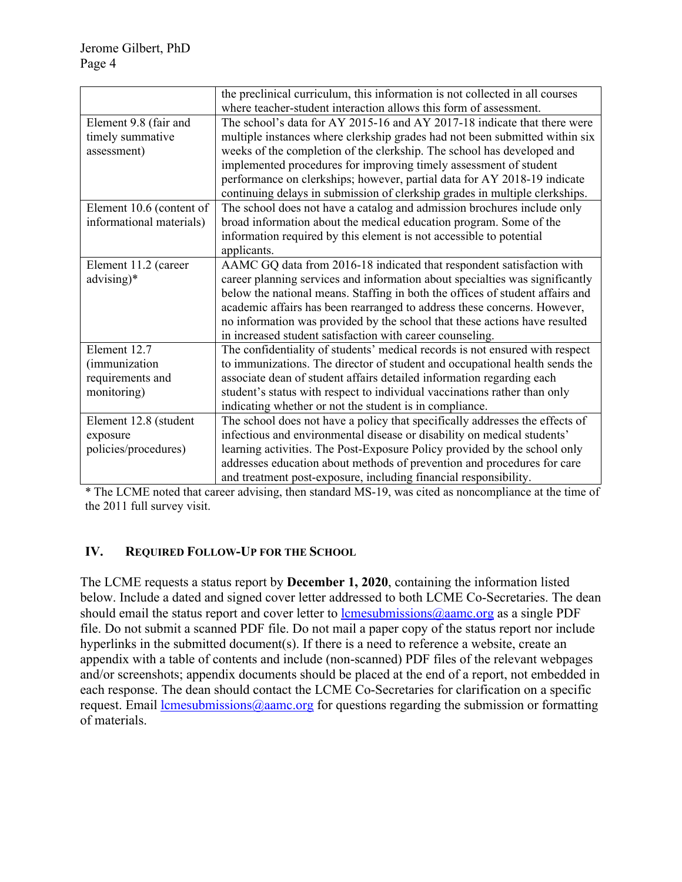|                          | the preclinical curriculum, this information is not collected in all courses  |
|--------------------------|-------------------------------------------------------------------------------|
|                          | where teacher-student interaction allows this form of assessment.             |
| Element 9.8 (fair and    | The school's data for AY 2015-16 and AY 2017-18 indicate that there were      |
| timely summative         | multiple instances where clerkship grades had not been submitted within six   |
| assessment)              | weeks of the completion of the clerkship. The school has developed and        |
|                          | implemented procedures for improving timely assessment of student             |
|                          | performance on clerkships; however, partial data for AY 2018-19 indicate      |
|                          | continuing delays in submission of clerkship grades in multiple clerkships.   |
| Element 10.6 (content of | The school does not have a catalog and admission brochures include only       |
| informational materials) | broad information about the medical education program. Some of the            |
|                          | information required by this element is not accessible to potential           |
|                          | applicants.                                                                   |
| Element 11.2 (career     | AAMC GQ data from 2016-18 indicated that respondent satisfaction with         |
| advising)*               | career planning services and information about specialties was significantly  |
|                          | below the national means. Staffing in both the offices of student affairs and |
|                          | academic affairs has been rearranged to address these concerns. However,      |
|                          | no information was provided by the school that these actions have resulted    |
|                          | in increased student satisfaction with career counseling.                     |
| Element 12.7             | The confidentiality of students' medical records is not ensured with respect  |
| <i>(immunization</i>     | to immunizations. The director of student and occupational health sends the   |
| requirements and         | associate dean of student affairs detailed information regarding each         |
| monitoring)              | student's status with respect to individual vaccinations rather than only     |
|                          | indicating whether or not the student is in compliance.                       |
| Element 12.8 (student    | The school does not have a policy that specifically addresses the effects of  |
| exposure                 | infectious and environmental disease or disability on medical students'       |
| policies/procedures)     | learning activities. The Post-Exposure Policy provided by the school only     |
|                          | addresses education about methods of prevention and procedures for care       |
|                          | and treatment post-exposure, including financial responsibility.              |

\* The LCME noted that career advising, then standard MS-19, was cited as noncompliance at the time of the 2011 full survey visit.

### **IV. REQUIRED FOLLOW-UP FOR THE SCHOOL**

The LCME requests a status report by **December 1, 2020**, containing the information listed below. Include a dated and signed cover letter addressed to both LCME Co-Secretaries. The dean should email the status report and cover letter to lower less instanctions  $\omega$  aamc.org as a single PDF file. Do not submit a scanned PDF file. Do not mail a paper copy of the status report nor include hyperlinks in the submitted document(s). If there is a need to reference a website, create an appendix with a table of contents and include (non-scanned) PDF files of the relevant webpages and/or screenshots; appendix documents should be placed at the end of a report, not embedded in each response. The dean should contact the LCME Co-Secretaries for clarification on a specific request. Email lcmesubmissions@aamc.org for questions regarding the submission or formatting of materials.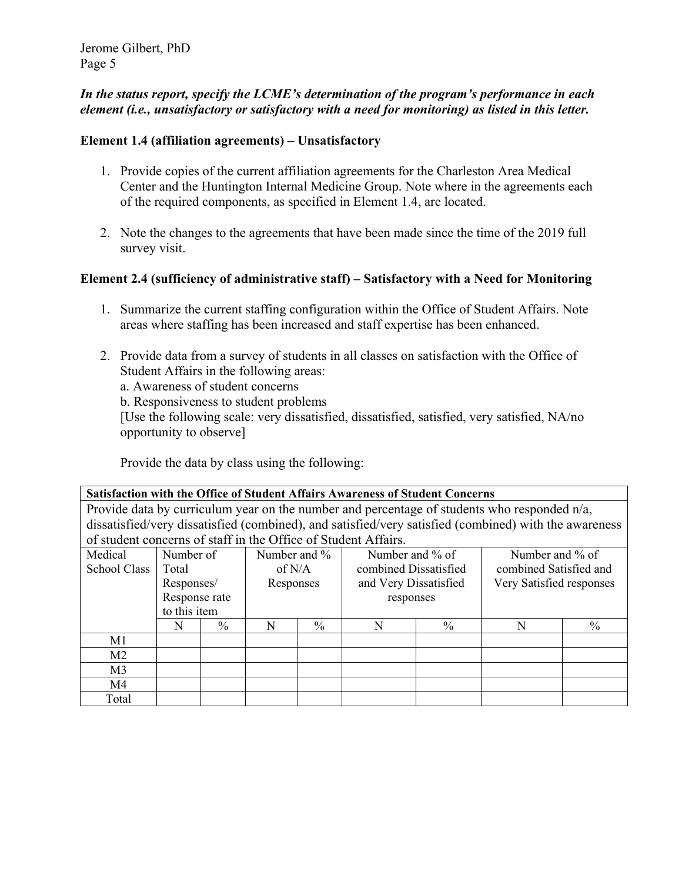### *In the status report, specify the LCME's determination of the program's performance in each element (i.e., unsatisfactory or satisfactory with a need for monitoring) as listed in this letter.*

### **Element 1.4 (affiliation agreements) – Unsatisfactory**

- 1. Provide copies of the current affiliation agreements for the Charleston Area Medical Center and the Huntington Internal Medicine Group. Note where in the agreements each of the required components, as specified in Element 1.4, are located.
- 2. Note the changes to the agreements that have been made since the time of the 2019 full survey visit.

### **Element 2.4 (sufficiency of administrative staff) – Satisfactory with a Need for Monitoring**

- 1. Summarize the current staffing configuration within the Office of Student Affairs. Note areas where staffing has been increased and staff expertise has been enhanced.
- 2. Provide data from a survey of students in all classes on satisfaction with the Office of Student Affairs in the following areas:

a. Awareness of student concerns b. Responsiveness to student problems

[Use the following scale: very dissatisfied, dissatisfied, satisfied, very satisfied, NA/no opportunity to observe]

Provide the data by class using the following:

**Satisfaction with the Office of Student Affairs Awareness of Student Concerns**  Provide data by curriculum year on the number and percentage of students who responded n/a, dissatisfied/very dissatisfied (combined), and satisfied/very satisfied (combined) with the awareness of student concerns of staff in the Office of Student Affairs. Medical  $\overline{1}$   $\overline{C}$ Number of Total Number and % of N/A Number and % of combined Dissatisfied Number and % of combined Satisfied and

| School Class   | 1 otal        |      | of N/A    |               | combined Dissatisfied |                       | combined Satisfied and |                          |
|----------------|---------------|------|-----------|---------------|-----------------------|-----------------------|------------------------|--------------------------|
|                | Responses/    |      | Responses |               |                       | and Very Dissatisfied |                        | Very Satisfied responses |
|                | Response rate |      |           |               | responses             |                       |                        |                          |
|                | to this item  |      |           |               |                       |                       |                        |                          |
|                | N             | $\%$ | N         | $\frac{0}{0}$ |                       | $\%$                  | N                      | $\%$                     |
| M1             |               |      |           |               |                       |                       |                        |                          |
| M <sub>2</sub> |               |      |           |               |                       |                       |                        |                          |
| M <sub>3</sub> |               |      |           |               |                       |                       |                        |                          |
| M4             |               |      |           |               |                       |                       |                        |                          |
| Total          |               |      |           |               |                       |                       |                        |                          |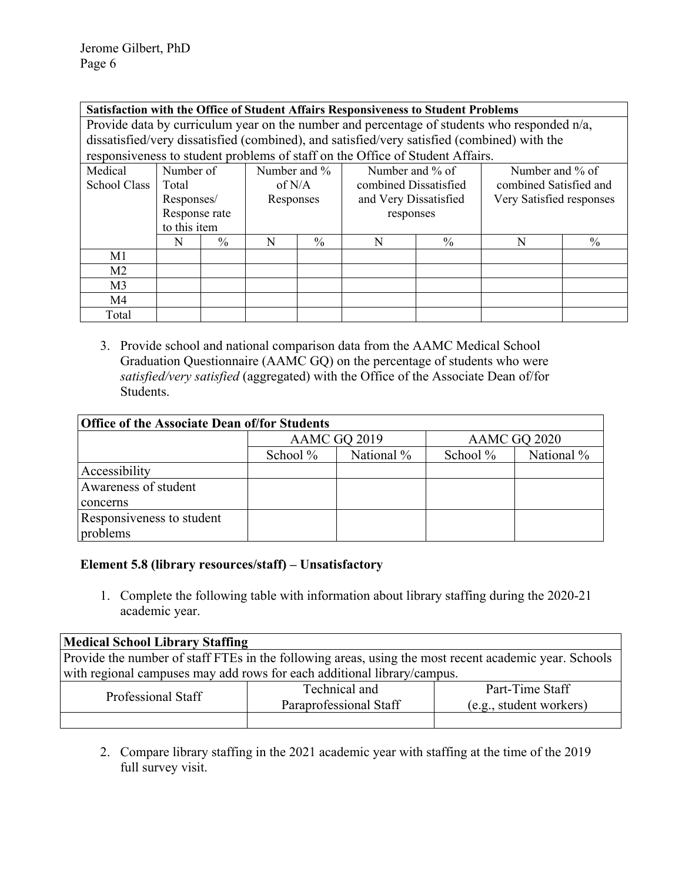#### **Satisfaction with the Office of Student Affairs Responsiveness to Student Problems**

Provide data by curriculum year on the number and percentage of students who responded n/a, dissatisfied/very dissatisfied (combined), and satisfied/very satisfied (combined) with the responsiveness to student problems of staff on the Office of Student Affairs.

| Medical        | Number of     |      | Number and $\%$ |               | Number and % of       |           | Number and % of          |                        |  |
|----------------|---------------|------|-----------------|---------------|-----------------------|-----------|--------------------------|------------------------|--|
| School Class   | Total         |      | of $N/A$        |               | combined Dissatisfied |           |                          | combined Satisfied and |  |
|                | Responses/    |      | Responses       |               | and Very Dissatisfied |           | Very Satisfied responses |                        |  |
|                | Response rate |      |                 |               |                       | responses |                          |                        |  |
|                | to this item  |      |                 |               |                       |           |                          |                        |  |
|                | N             | $\%$ | N               | $\frac{0}{0}$ | N                     | $\%$      | N                        | $\%$                   |  |
| M1             |               |      |                 |               |                       |           |                          |                        |  |
| M <sub>2</sub> |               |      |                 |               |                       |           |                          |                        |  |
| M <sub>3</sub> |               |      |                 |               |                       |           |                          |                        |  |
| M4             |               |      |                 |               |                       |           |                          |                        |  |
| Total          |               |      |                 |               |                       |           |                          |                        |  |

3. Provide school and national comparison data from the AAMC Medical School Graduation Questionnaire (AAMC GQ) on the percentage of students who were *satisfied/very satisfied* (aggregated) with the Office of the Associate Dean of/for Students.

| <b>Office of the Associate Dean of/for Students</b> |          |              |              |            |  |  |  |  |  |
|-----------------------------------------------------|----------|--------------|--------------|------------|--|--|--|--|--|
|                                                     |          | AAMC GQ 2019 | AAMC GQ 2020 |            |  |  |  |  |  |
|                                                     | School % | National %   | School %     | National % |  |  |  |  |  |
| Accessibility                                       |          |              |              |            |  |  |  |  |  |
| Awareness of student                                |          |              |              |            |  |  |  |  |  |
| concerns                                            |          |              |              |            |  |  |  |  |  |
| Responsiveness to student                           |          |              |              |            |  |  |  |  |  |
| problems                                            |          |              |              |            |  |  |  |  |  |

### **Element 5.8 (library resources/staff) – Unsatisfactory**

1. Complete the following table with information about library staffing during the 2020-21 academic year.

| <b>Medical School Library Staffing</b>                                                                |  |  |  |  |  |  |  |  |
|-------------------------------------------------------------------------------------------------------|--|--|--|--|--|--|--|--|
| Provide the number of staff FTEs in the following areas, using the most recent academic year. Schools |  |  |  |  |  |  |  |  |
| with regional campuses may add rows for each additional library/campus.                               |  |  |  |  |  |  |  |  |
| Technical and<br>Part-Time Staff                                                                      |  |  |  |  |  |  |  |  |
| Professional Staff<br>Paraprofessional Staff<br>(e.g., student workers)                               |  |  |  |  |  |  |  |  |
|                                                                                                       |  |  |  |  |  |  |  |  |

2. Compare library staffing in the 2021 academic year with staffing at the time of the 2019 full survey visit.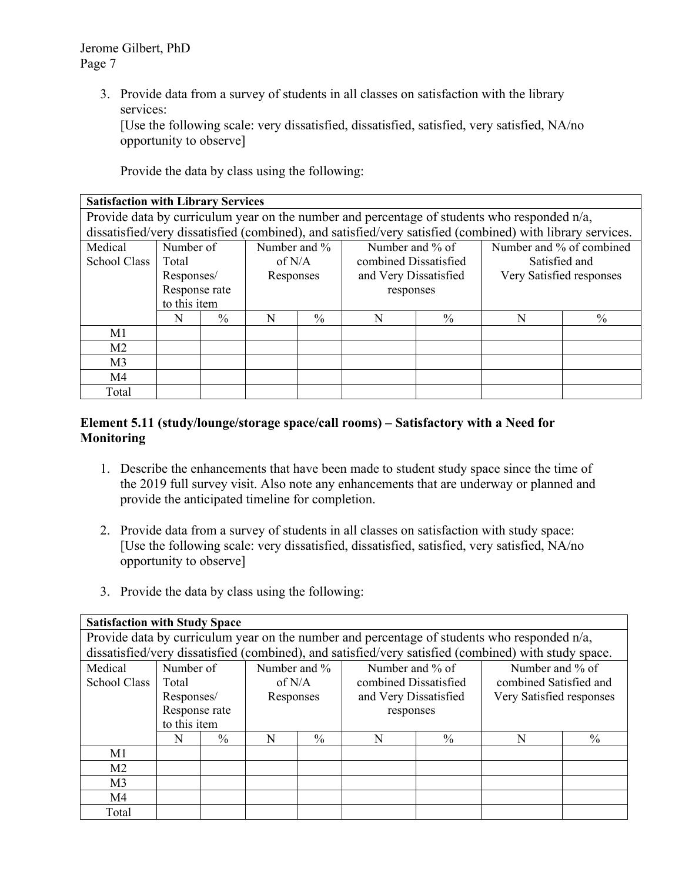> 3. Provide data from a survey of students in all classes on satisfaction with the library services:

[Use the following scale: very dissatisfied, dissatisfied, satisfied, very satisfied, NA/no opportunity to observe]

Provide the data by class using the following:

| <b>Satisfaction with Library Services</b>                                                                 |                                                                             |                                                                              |          |      |                       |      |  |               |  |
|-----------------------------------------------------------------------------------------------------------|-----------------------------------------------------------------------------|------------------------------------------------------------------------------|----------|------|-----------------------|------|--|---------------|--|
| Provide data by curriculum year on the number and percentage of students who responded n/a,               |                                                                             |                                                                              |          |      |                       |      |  |               |  |
| dissatisfied/very dissatisfied (combined), and satisfied/very satisfied (combined) with library services. |                                                                             |                                                                              |          |      |                       |      |  |               |  |
| Medical                                                                                                   | Number and % of combined<br>Number of<br>Number and $\%$<br>Number and % of |                                                                              |          |      |                       |      |  |               |  |
| School Class                                                                                              | Total                                                                       |                                                                              | of $N/A$ |      | combined Dissatisfied |      |  | Satisfied and |  |
|                                                                                                           |                                                                             | Very Satisfied responses<br>and Very Dissatisfied<br>Responses/<br>Responses |          |      |                       |      |  |               |  |
|                                                                                                           | Response rate                                                               |                                                                              |          |      | responses             |      |  |               |  |
|                                                                                                           | to this item                                                                |                                                                              |          |      |                       |      |  |               |  |
|                                                                                                           | N                                                                           | $\frac{0}{0}$                                                                | N        | $\%$ | N                     | $\%$ |  | $\%$          |  |
| M1                                                                                                        |                                                                             |                                                                              |          |      |                       |      |  |               |  |
| M <sub>2</sub>                                                                                            |                                                                             |                                                                              |          |      |                       |      |  |               |  |
| M <sub>3</sub>                                                                                            |                                                                             |                                                                              |          |      |                       |      |  |               |  |
| M <sub>4</sub>                                                                                            |                                                                             |                                                                              |          |      |                       |      |  |               |  |
| Total                                                                                                     |                                                                             |                                                                              |          |      |                       |      |  |               |  |

## **Element 5.11 (study/lounge/storage space/call rooms) – Satisfactory with a Need for Monitoring**

- 1. Describe the enhancements that have been made to student study space since the time of the 2019 full survey visit. Also note any enhancements that are underway or planned and provide the anticipated timeline for completion.
- 2. Provide data from a survey of students in all classes on satisfaction with study space: [Use the following scale: very dissatisfied, dissatisfied, satisfied, very satisfied, NA/no opportunity to observe]
- 3. Provide the data by class using the following:

| <b>Satisfaction with Study Space</b>                                                        |               |      |                                                                |               |                       |      |                                                                                                      |               |
|---------------------------------------------------------------------------------------------|---------------|------|----------------------------------------------------------------|---------------|-----------------------|------|------------------------------------------------------------------------------------------------------|---------------|
| Provide data by curriculum year on the number and percentage of students who responded n/a, |               |      |                                                                |               |                       |      |                                                                                                      |               |
|                                                                                             |               |      |                                                                |               |                       |      | dissatisfied/very dissatisfied (combined), and satisfied/very satisfied (combined) with study space. |               |
| Medical                                                                                     | Number of     |      | Number and %                                                   |               | Number and % of       |      | Number and % of                                                                                      |               |
| <b>School Class</b>                                                                         | Total         |      | of $N/A$                                                       |               | combined Dissatisfied |      | combined Satisfied and                                                                               |               |
|                                                                                             | Responses/    |      | Very Satisfied responses<br>and Very Dissatisfied<br>Responses |               |                       |      |                                                                                                      |               |
|                                                                                             | Response rate |      |                                                                |               | responses             |      |                                                                                                      |               |
|                                                                                             | to this item  |      |                                                                |               |                       |      |                                                                                                      |               |
|                                                                                             | N             | $\%$ | N                                                              | $\frac{0}{0}$ | N                     | $\%$ | N                                                                                                    | $\frac{0}{0}$ |
| M1                                                                                          |               |      |                                                                |               |                       |      |                                                                                                      |               |
| M <sub>2</sub>                                                                              |               |      |                                                                |               |                       |      |                                                                                                      |               |
| M <sub>3</sub>                                                                              |               |      |                                                                |               |                       |      |                                                                                                      |               |
| M4                                                                                          |               |      |                                                                |               |                       |      |                                                                                                      |               |
| Total                                                                                       |               |      |                                                                |               |                       |      |                                                                                                      |               |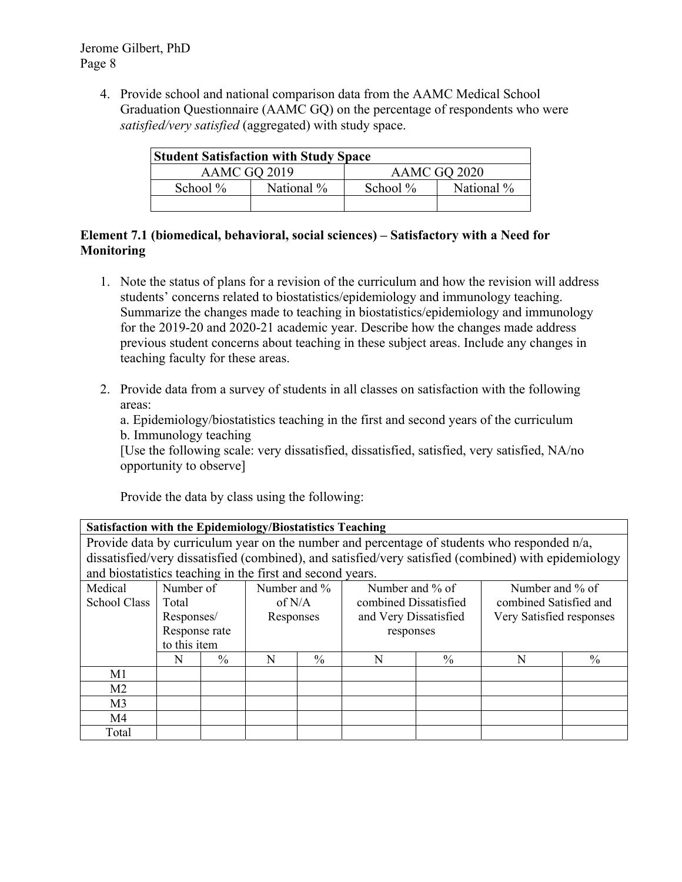4. Provide school and national comparison data from the AAMC Medical School Graduation Questionnaire (AAMC GQ) on the percentage of respondents who were *satisfied/very satisfied* (aggregated) with study space.

| <b>Student Satisfaction with Study Space</b> |            |             |            |  |  |  |  |  |  |  |  |  |
|----------------------------------------------|------------|-------------|------------|--|--|--|--|--|--|--|--|--|
| AAMC GQ 2019<br>AAMC GO 2020                 |            |             |            |  |  |  |  |  |  |  |  |  |
| School $\%$                                  | National % | School $\%$ | National % |  |  |  |  |  |  |  |  |  |
|                                              |            |             |            |  |  |  |  |  |  |  |  |  |

## **Element 7.1 (biomedical, behavioral, social sciences) – Satisfactory with a Need for Monitoring**

- 1. Note the status of plans for a revision of the curriculum and how the revision will address students' concerns related to biostatistics/epidemiology and immunology teaching. Summarize the changes made to teaching in biostatistics/epidemiology and immunology for the 2019-20 and 2020-21 academic year. Describe how the changes made address previous student concerns about teaching in these subject areas. Include any changes in teaching faculty for these areas.
- 2. Provide data from a survey of students in all classes on satisfaction with the following areas:

a. Epidemiology/biostatistics teaching in the first and second years of the curriculum b. Immunology teaching

[Use the following scale: very dissatisfied, dissatisfied, satisfied, very satisfied, NA/no opportunity to observe]

Provide the data by class using the following:

| <b>Satisfaction with the Epidemiology/Biostatistics Teaching</b> |  |
|------------------------------------------------------------------|--|
|                                                                  |  |

Provide data by curriculum year on the number and percentage of students who responded n/a, dissatisfied/very dissatisfied (combined), and satisfied/very satisfied (combined) with epidemiology and biostatistics teaching in the first and second years.

|                     | and orogiamotics teaching in the mot and second years. |      |              |               |                       |      |                          |      |  |  |  |  |  |
|---------------------|--------------------------------------------------------|------|--------------|---------------|-----------------------|------|--------------------------|------|--|--|--|--|--|
| Medical             | Number of                                              |      | Number and % |               | Number and % of       |      | Number and % of          |      |  |  |  |  |  |
| <b>School Class</b> | Total                                                  |      | of $N/A$     |               | combined Dissatisfied |      | combined Satisfied and   |      |  |  |  |  |  |
|                     | Responses/                                             |      | Responses    |               | and Very Dissatisfied |      | Very Satisfied responses |      |  |  |  |  |  |
|                     | Response rate                                          |      |              |               | responses             |      |                          |      |  |  |  |  |  |
|                     | to this item                                           |      |              |               |                       |      |                          |      |  |  |  |  |  |
|                     | N                                                      | $\%$ | N            | $\frac{0}{0}$ | N                     | $\%$ | N                        | $\%$ |  |  |  |  |  |
| M1                  |                                                        |      |              |               |                       |      |                          |      |  |  |  |  |  |
| M <sub>2</sub>      |                                                        |      |              |               |                       |      |                          |      |  |  |  |  |  |
| M <sub>3</sub>      |                                                        |      |              |               |                       |      |                          |      |  |  |  |  |  |
| M4                  |                                                        |      |              |               |                       |      |                          |      |  |  |  |  |  |
| Total               |                                                        |      |              |               |                       |      |                          |      |  |  |  |  |  |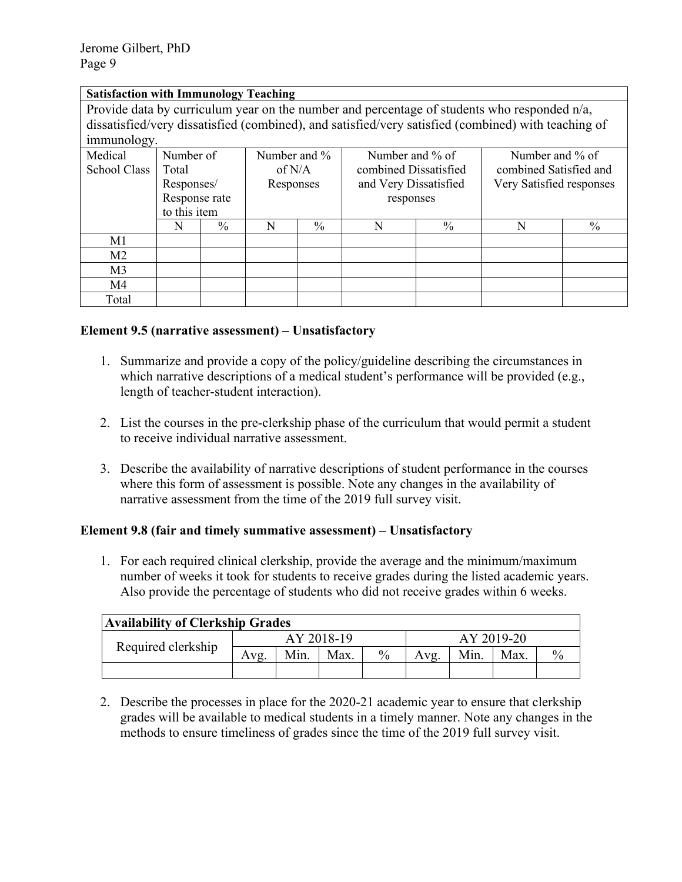### **Satisfaction with Immunology Teaching**

Provide data by curriculum year on the number and percentage of students who responded n/a, dissatisfied/very dissatisfied (combined), and satisfied/very satisfied (combined) with teaching of immunology.

| ັ<br>Medical   | Number of     |      | Number and $\%$ |      | Number and % of       |      | Number and % of          |      |  |
|----------------|---------------|------|-----------------|------|-----------------------|------|--------------------------|------|--|
| School Class   | Total         |      | of $N/A$        |      | combined Dissatisfied |      | combined Satisfied and   |      |  |
|                | Responses/    |      | Responses       |      | and Very Dissatisfied |      | Very Satisfied responses |      |  |
|                | Response rate |      |                 |      | responses             |      |                          |      |  |
|                | to this item  |      |                 |      |                       |      |                          |      |  |
|                | N             | $\%$ | N               | $\%$ | N                     | $\%$ |                          | $\%$ |  |
| M <sub>1</sub> |               |      |                 |      |                       |      |                          |      |  |
| M <sub>2</sub> |               |      |                 |      |                       |      |                          |      |  |
| M <sub>3</sub> |               |      |                 |      |                       |      |                          |      |  |
| M4             |               |      |                 |      |                       |      |                          |      |  |
| Total          |               |      |                 |      |                       |      |                          |      |  |

### **Element 9.5 (narrative assessment) – Unsatisfactory**

- 1. Summarize and provide a copy of the policy/guideline describing the circumstances in which narrative descriptions of a medical student's performance will be provided (e.g., length of teacher-student interaction).
- 2. List the courses in the pre-clerkship phase of the curriculum that would permit a student to receive individual narrative assessment.
- 3. Describe the availability of narrative descriptions of student performance in the courses where this form of assessment is possible. Note any changes in the availability of narrative assessment from the time of the 2019 full survey visit.

### **Element 9.8 (fair and timely summative assessment) – Unsatisfactory**

1. For each required clinical clerkship, provide the average and the minimum/maximum number of weeks it took for students to receive grades during the listed academic years. Also provide the percentage of students who did not receive grades within 6 weeks.

| <b>Availability of Clerkship Grades</b> |            |      |      |      |            |      |      |               |  |  |  |
|-----------------------------------------|------------|------|------|------|------------|------|------|---------------|--|--|--|
| Required clerkship                      | AY 2018-19 |      |      |      | AY 2019-20 |      |      |               |  |  |  |
|                                         | Avg.       | Min. | Max. | $\%$ | Avg.       | Min. | Max. | $\frac{0}{0}$ |  |  |  |
|                                         |            |      |      |      |            |      |      |               |  |  |  |

2. Describe the processes in place for the 2020-21 academic year to ensure that clerkship grades will be available to medical students in a timely manner. Note any changes in the methods to ensure timeliness of grades since the time of the 2019 full survey visit.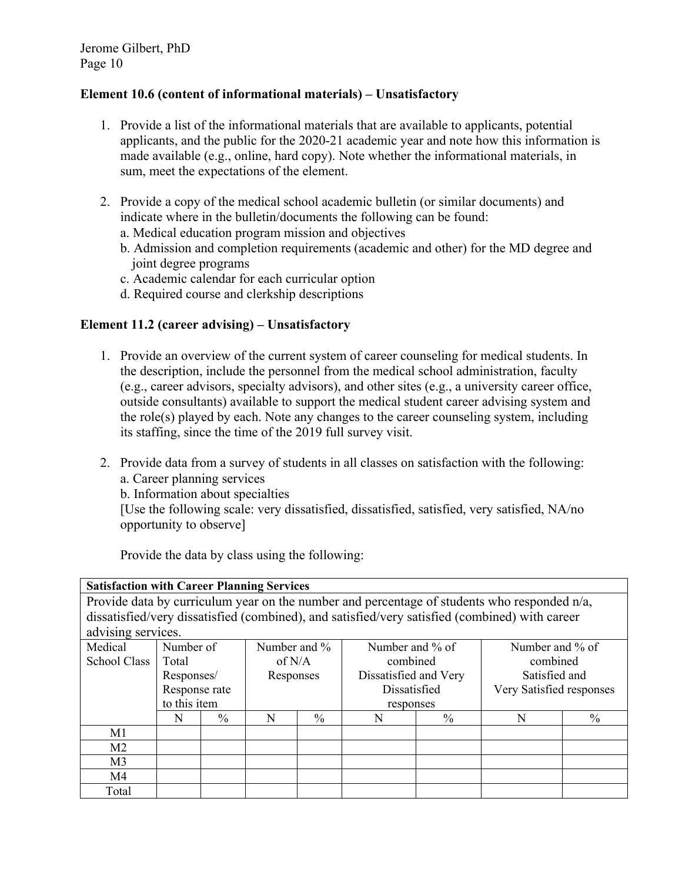### **Element 10.6 (content of informational materials) – Unsatisfactory**

- 1. Provide a list of the informational materials that are available to applicants, potential applicants, and the public for the 2020-21 academic year and note how this information is made available (e.g., online, hard copy). Note whether the informational materials, in sum, meet the expectations of the element.
- 2. Provide a copy of the medical school academic bulletin (or similar documents) and indicate where in the bulletin/documents the following can be found: a. Medical education program mission and objectives
	- b. Admission and completion requirements (academic and other) for the MD degree and joint degree programs
	- c. Academic calendar for each curricular option
	- d. Required course and clerkship descriptions

### **Element 11.2 (career advising) – Unsatisfactory**

- 1. Provide an overview of the current system of career counseling for medical students. In the description, include the personnel from the medical school administration, faculty (e.g., career advisors, specialty advisors), and other sites (e.g., a university career office, outside consultants) available to support the medical student career advising system and the role(s) played by each. Note any changes to the career counseling system, including its staffing, since the time of the 2019 full survey visit.
- 2. Provide data from a survey of students in all classes on satisfaction with the following: a. Career planning services
	- b. Information about specialties

[Use the following scale: very dissatisfied, dissatisfied, satisfied, very satisfied, NA/no opportunity to observe]

**Satisfaction with Career Planning Services**  Provide data by curriculum year on the number and percentage of students who responded n/a, dissatisfied/very dissatisfied (combined), and satisfied/very satisfied (combined) with career advising services. Medical School Class Number of Total Responses/ Response rate to this item Number and % of N/A Responses Number and % of combined Dissatisfied and Very Dissatisfied responses Number and % of combined Satisfied and Very Satisfied responses N % N % N % N % M1 M2  $M<sub>3</sub>$ M4 Total

Provide the data by class using the following: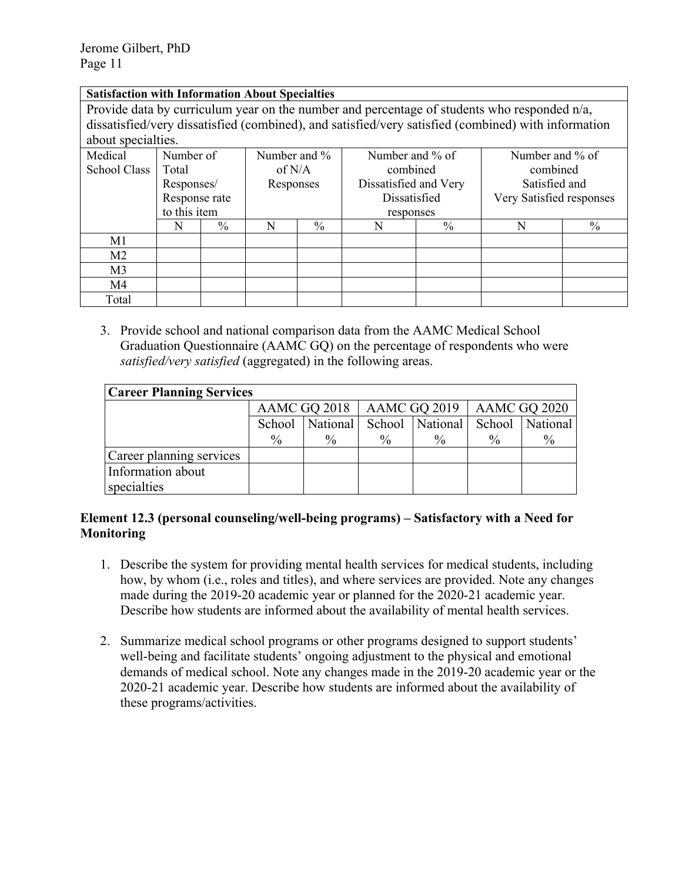#### **Satisfaction with Information About Specialties**

Provide data by curriculum year on the number and percentage of students who responded n/a, dissatisfied/very dissatisfied (combined), and satisfied/very satisfied (combined) with information about specialties.

| Medical        | Number of     |      | Number and $\%$ |               | Number and % of       |      | Number and % of          |          |  |
|----------------|---------------|------|-----------------|---------------|-----------------------|------|--------------------------|----------|--|
| School Class   | Total         |      | of $N/A$        |               | combined              |      |                          | combined |  |
|                | Responses/    |      | Responses       |               | Dissatisfied and Very |      | Satisfied and            |          |  |
|                | Response rate |      |                 |               | Dissatisfied          |      | Very Satisfied responses |          |  |
|                | to this item  |      |                 |               | responses             |      |                          |          |  |
|                | N             | $\%$ | N               | $\frac{0}{0}$ | N                     | $\%$ |                          | $\%$     |  |
| M1             |               |      |                 |               |                       |      |                          |          |  |
| M <sub>2</sub> |               |      |                 |               |                       |      |                          |          |  |
| M <sub>3</sub> |               |      |                 |               |                       |      |                          |          |  |
| M4             |               |      |                 |               |                       |      |                          |          |  |
| Total          |               |      |                 |               |                       |      |                          |          |  |

3. Provide school and national comparison data from the AAMC Medical School Graduation Questionnaire (AAMC GQ) on the percentage of respondents who were *satisfied/very satisfied* (aggregated) in the following areas.

| <b>Career Planning Services</b> |                                               |                   |               |                 |      |                 |  |  |  |  |  |  |
|---------------------------------|-----------------------------------------------|-------------------|---------------|-----------------|------|-----------------|--|--|--|--|--|--|
|                                 | AAMC GQ 2018   AAMC GQ 2019  <br>AAMC GQ 2020 |                   |               |                 |      |                 |  |  |  |  |  |  |
|                                 |                                               | School   National |               | School National |      | School National |  |  |  |  |  |  |
|                                 | $\%$                                          | $\%$              | $\frac{0}{0}$ | $\frac{0}{0}$   | $\%$ | $\frac{0}{0}$   |  |  |  |  |  |  |
| Career planning services        |                                               |                   |               |                 |      |                 |  |  |  |  |  |  |
| Information about               |                                               |                   |               |                 |      |                 |  |  |  |  |  |  |
| specialties                     |                                               |                   |               |                 |      |                 |  |  |  |  |  |  |

### **Element 12.3 (personal counseling/well-being programs) – Satisfactory with a Need for Monitoring**

- 1. Describe the system for providing mental health services for medical students, including how, by whom (i.e., roles and titles), and where services are provided. Note any changes made during the 2019-20 academic year or planned for the 2020-21 academic year. Describe how students are informed about the availability of mental health services.
- 2. Summarize medical school programs or other programs designed to support students' well-being and facilitate students' ongoing adjustment to the physical and emotional demands of medical school. Note any changes made in the 2019-20 academic year or the 2020-21 academic year. Describe how students are informed about the availability of these programs/activities.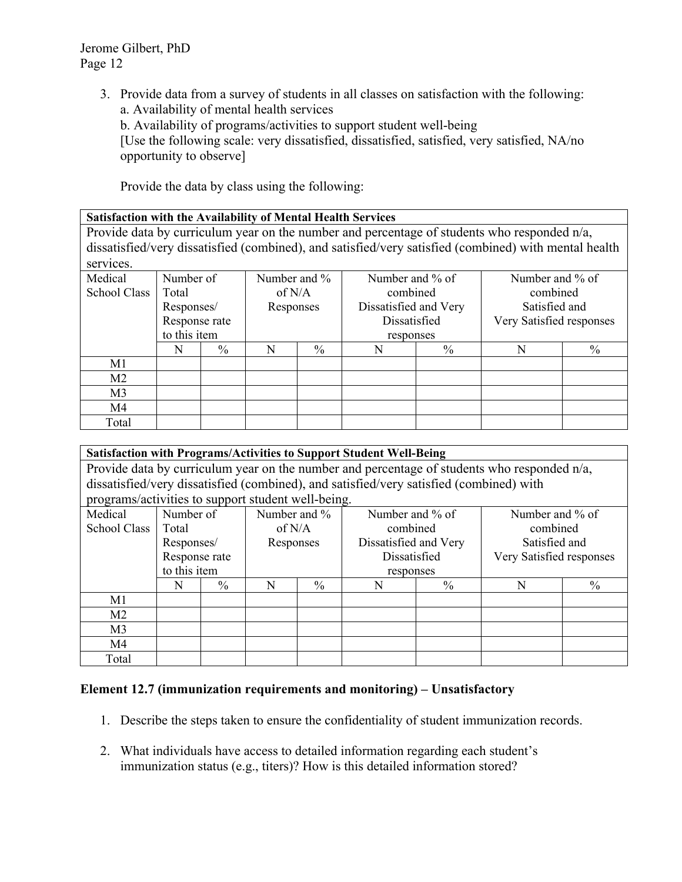3. Provide data from a survey of students in all classes on satisfaction with the following: a. Availability of mental health services

b. Availability of programs/activities to support student well-being

[Use the following scale: very dissatisfied, dissatisfied, satisfied, very satisfied, NA/no opportunity to observe]

Provide the data by class using the following:

|  |  |  | <b>Satisfaction with the Availability of Mental Health Services</b> |  |
|--|--|--|---------------------------------------------------------------------|--|
|  |  |  |                                                                     |  |

Provide data by curriculum year on the number and percentage of students who responded n/a, dissatisfied/very dissatisfied (combined), and satisfied/very satisfied (combined) with mental health services.

| Medical        | Number of     |      | Number and % |               | Number and % of       |          | Number and % of          |          |  |
|----------------|---------------|------|--------------|---------------|-----------------------|----------|--------------------------|----------|--|
| School Class   | Total         |      | of $N/A$     |               |                       | combined |                          | combined |  |
|                | Responses/    |      | Responses    |               | Dissatisfied and Very |          | Satisfied and            |          |  |
|                | Response rate |      |              |               | Dissatisfied          |          | Very Satisfied responses |          |  |
|                | to this item  |      |              |               | responses             |          |                          |          |  |
|                | N             | $\%$ | N            | $\frac{0}{0}$ | N                     | $\%$     |                          | $\%$     |  |
| M1             |               |      |              |               |                       |          |                          |          |  |
| M <sub>2</sub> |               |      |              |               |                       |          |                          |          |  |
| M <sub>3</sub> |               |      |              |               |                       |          |                          |          |  |
| M4             |               |      |              |               |                       |          |                          |          |  |
| Total          |               |      |              |               |                       |          |                          |          |  |

|                                                                                         | <b>Satisfaction with Programs/Activities to Support Student Well-Being</b>                  |               |          |               |                 |               |                          |               |  |  |  |  |  |  |
|-----------------------------------------------------------------------------------------|---------------------------------------------------------------------------------------------|---------------|----------|---------------|-----------------|---------------|--------------------------|---------------|--|--|--|--|--|--|
|                                                                                         | Provide data by curriculum year on the number and percentage of students who responded n/a, |               |          |               |                 |               |                          |               |  |  |  |  |  |  |
|                                                                                         |                                                                                             |               |          |               |                 |               |                          |               |  |  |  |  |  |  |
| dissatisfied/very dissatisfied (combined), and satisfied/very satisfied (combined) with |                                                                                             |               |          |               |                 |               |                          |               |  |  |  |  |  |  |
|                                                                                         | programs/activities to support student well-being.                                          |               |          |               |                 |               |                          |               |  |  |  |  |  |  |
| Medical                                                                                 | Number of                                                                                   |               |          | Number and %  | Number and % of |               | Number and % of          |               |  |  |  |  |  |  |
| School Class                                                                            | Total                                                                                       |               | of $N/A$ |               | combined        |               | combined                 |               |  |  |  |  |  |  |
|                                                                                         | Dissatisfied and Very<br>Satisfied and<br>Responses/<br>Responses                           |               |          |               |                 |               |                          |               |  |  |  |  |  |  |
|                                                                                         | Response rate                                                                               |               |          |               | Dissatisfied    |               | Very Satisfied responses |               |  |  |  |  |  |  |
|                                                                                         | to this item                                                                                |               |          |               | responses       |               |                          |               |  |  |  |  |  |  |
|                                                                                         | N                                                                                           | $\frac{0}{0}$ | N        | $\frac{0}{0}$ | N               | $\frac{0}{0}$ | N                        | $\frac{0}{0}$ |  |  |  |  |  |  |
| M1                                                                                      |                                                                                             |               |          |               |                 |               |                          |               |  |  |  |  |  |  |
| M <sub>2</sub>                                                                          |                                                                                             |               |          |               |                 |               |                          |               |  |  |  |  |  |  |
| M <sub>3</sub>                                                                          |                                                                                             |               |          |               |                 |               |                          |               |  |  |  |  |  |  |
| M4                                                                                      |                                                                                             |               |          |               |                 |               |                          |               |  |  |  |  |  |  |
| Total                                                                                   |                                                                                             |               |          |               |                 |               |                          |               |  |  |  |  |  |  |

### **Element 12.7 (immunization requirements and monitoring) – Unsatisfactory**

- 1. Describe the steps taken to ensure the confidentiality of student immunization records.
- 2. What individuals have access to detailed information regarding each student's immunization status (e.g., titers)? How is this detailed information stored?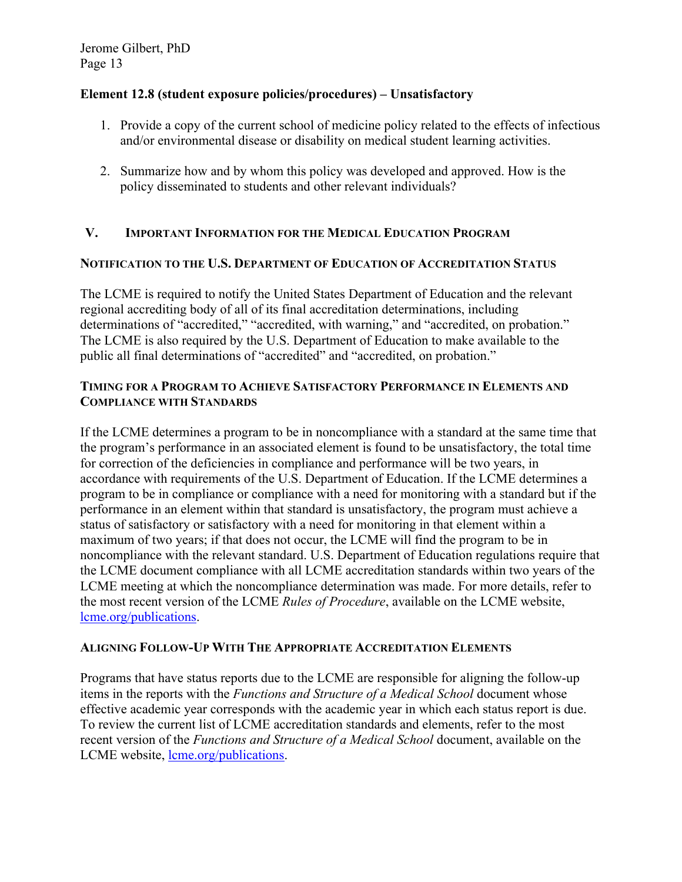### **Element 12.8 (student exposure policies/procedures) – Unsatisfactory**

- 1. Provide a copy of the current school of medicine policy related to the effects of infectious and/or environmental disease or disability on medical student learning activities.
- 2. Summarize how and by whom this policy was developed and approved. How is the policy disseminated to students and other relevant individuals?

# **V. IMPORTANT INFORMATION FOR THE MEDICAL EDUCATION PROGRAM**

### **NOTIFICATION TO THE U.S. DEPARTMENT OF EDUCATION OF ACCREDITATION STATUS**

The LCME is required to notify the United States Department of Education and the relevant regional accrediting body of all of its final accreditation determinations, including determinations of "accredited," "accredited, with warning," and "accredited, on probation." The LCME is also required by the U.S. Department of Education to make available to the public all final determinations of "accredited" and "accredited, on probation."

#### **TIMING FOR A PROGRAM TO ACHIEVE SATISFACTORY PERFORMANCE IN ELEMENTS AND COMPLIANCE WITH STANDARDS**

If the LCME determines a program to be in noncompliance with a standard at the same time that the program's performance in an associated element is found to be unsatisfactory, the total time for correction of the deficiencies in compliance and performance will be two years, in accordance with requirements of the U.S. Department of Education. If the LCME determines a program to be in compliance or compliance with a need for monitoring with a standard but if the performance in an element within that standard is unsatisfactory, the program must achieve a status of satisfactory or satisfactory with a need for monitoring in that element within a maximum of two years; if that does not occur, the LCME will find the program to be in noncompliance with the relevant standard. U.S. Department of Education regulations require that the LCME document compliance with all LCME accreditation standards within two years of the LCME meeting at which the noncompliance determination was made. For more details, refer to the most recent version of the LCME *Rules of Procedure*, available on the LCME website, lcme.org/publications.

### **ALIGNING FOLLOW-UP WITH THE APPROPRIATE ACCREDITATION ELEMENTS**

Programs that have status reports due to the LCME are responsible for aligning the follow-up items in the reports with the *Functions and Structure of a Medical School* document whose effective academic year corresponds with the academic year in which each status report is due. To review the current list of LCME accreditation standards and elements, refer to the most recent version of the *Functions and Structure of a Medical School* document, available on the LCME website, lcme.org/publications.